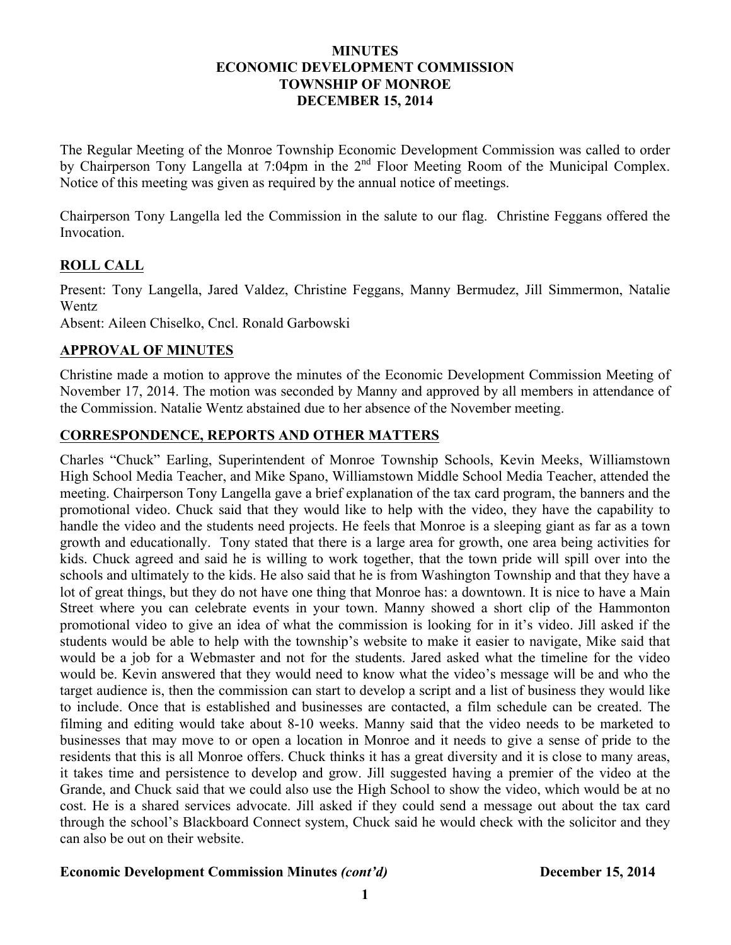#### **MINUTES ECONOMIC DEVELOPMENT COMMISSION TOWNSHIP OF MONROE DECEMBER 15, 2014**

The Regular Meeting of the Monroe Township Economic Development Commission was called to order by Chairperson Tony Langella at 7:04pm in the 2<sup>nd</sup> Floor Meeting Room of the Municipal Complex. Notice of this meeting was given as required by the annual notice of meetings.

Chairperson Tony Langella led the Commission in the salute to our flag. Christine Feggans offered the Invocation.

# **ROLL CALL**

Present: Tony Langella, Jared Valdez, Christine Feggans, Manny Bermudez, Jill Simmermon, Natalie Wentz

Absent: Aileen Chiselko, Cncl. Ronald Garbowski

## **APPROVAL OF MINUTES**

Christine made a motion to approve the minutes of the Economic Development Commission Meeting of November 17, 2014. The motion was seconded by Manny and approved by all members in attendance of the Commission. Natalie Wentz abstained due to her absence of the November meeting.

## **CORRESPONDENCE, REPORTS AND OTHER MATTERS**

Charles "Chuck" Earling, Superintendent of Monroe Township Schools, Kevin Meeks, Williamstown High School Media Teacher, and Mike Spano, Williamstown Middle School Media Teacher, attended the meeting. Chairperson Tony Langella gave a brief explanation of the tax card program, the banners and the promotional video. Chuck said that they would like to help with the video, they have the capability to handle the video and the students need projects. He feels that Monroe is a sleeping giant as far as a town growth and educationally. Tony stated that there is a large area for growth, one area being activities for kids. Chuck agreed and said he is willing to work together, that the town pride will spill over into the schools and ultimately to the kids. He also said that he is from Washington Township and that they have a lot of great things, but they do not have one thing that Monroe has: a downtown. It is nice to have a Main Street where you can celebrate events in your town. Manny showed a short clip of the Hammonton promotional video to give an idea of what the commission is looking for in it's video. Jill asked if the students would be able to help with the township's website to make it easier to navigate, Mike said that would be a job for a Webmaster and not for the students. Jared asked what the timeline for the video would be. Kevin answered that they would need to know what the video's message will be and who the target audience is, then the commission can start to develop a script and a list of business they would like to include. Once that is established and businesses are contacted, a film schedule can be created. The filming and editing would take about 8-10 weeks. Manny said that the video needs to be marketed to businesses that may move to or open a location in Monroe and it needs to give a sense of pride to the residents that this is all Monroe offers. Chuck thinks it has a great diversity and it is close to many areas, it takes time and persistence to develop and grow. Jill suggested having a premier of the video at the Grande, and Chuck said that we could also use the High School to show the video, which would be at no cost. He is a shared services advocate. Jill asked if they could send a message out about the tax card through the school's Blackboard Connect system, Chuck said he would check with the solicitor and they can also be out on their website.

#### **Economic Development Commission Minutes** *(cont'd)* **December 15, 2014**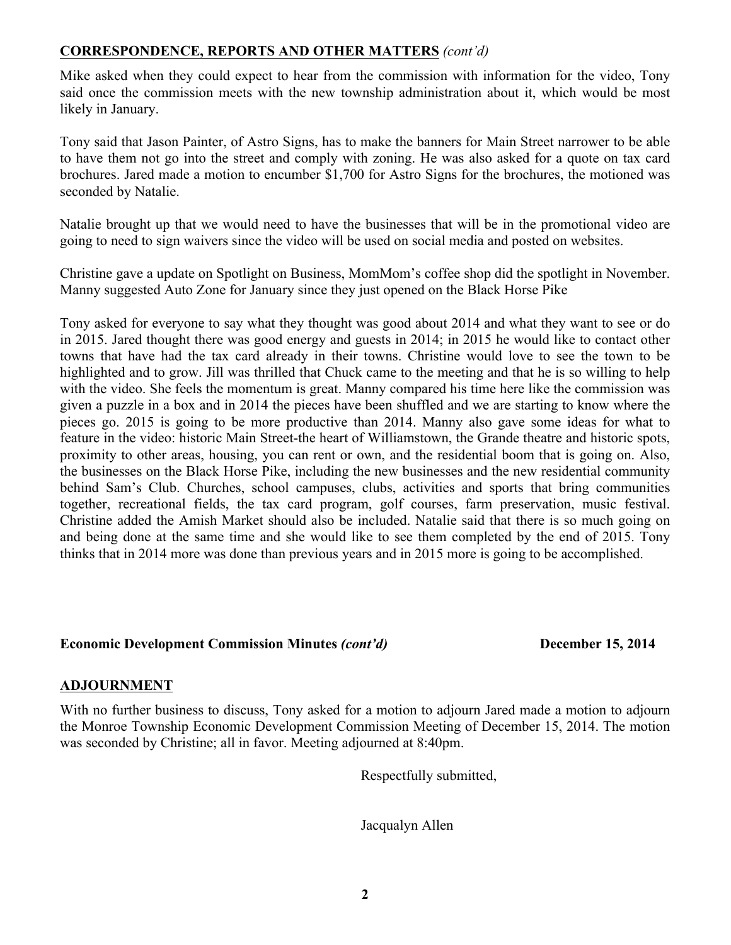## **CORRESPONDENCE, REPORTS AND OTHER MATTERS** *(cont'd)*

Mike asked when they could expect to hear from the commission with information for the video, Tony said once the commission meets with the new township administration about it, which would be most likely in January.

Tony said that Jason Painter, of Astro Signs, has to make the banners for Main Street narrower to be able to have them not go into the street and comply with zoning. He was also asked for a quote on tax card brochures. Jared made a motion to encumber \$1,700 for Astro Signs for the brochures, the motioned was seconded by Natalie.

Natalie brought up that we would need to have the businesses that will be in the promotional video are going to need to sign waivers since the video will be used on social media and posted on websites.

Christine gave a update on Spotlight on Business, MomMom's coffee shop did the spotlight in November. Manny suggested Auto Zone for January since they just opened on the Black Horse Pike

Tony asked for everyone to say what they thought was good about 2014 and what they want to see or do in 2015. Jared thought there was good energy and guests in 2014; in 2015 he would like to contact other towns that have had the tax card already in their towns. Christine would love to see the town to be highlighted and to grow. Jill was thrilled that Chuck came to the meeting and that he is so willing to help with the video. She feels the momentum is great. Manny compared his time here like the commission was given a puzzle in a box and in 2014 the pieces have been shuffled and we are starting to know where the pieces go. 2015 is going to be more productive than 2014. Manny also gave some ideas for what to feature in the video: historic Main Street-the heart of Williamstown, the Grande theatre and historic spots, proximity to other areas, housing, you can rent or own, and the residential boom that is going on. Also, the businesses on the Black Horse Pike, including the new businesses and the new residential community behind Sam's Club. Churches, school campuses, clubs, activities and sports that bring communities together, recreational fields, the tax card program, golf courses, farm preservation, music festival. Christine added the Amish Market should also be included. Natalie said that there is so much going on and being done at the same time and she would like to see them completed by the end of 2015. Tony thinks that in 2014 more was done than previous years and in 2015 more is going to be accomplished.

#### **Economic Development Commission Minutes** *(cont'd)* **December 15, 2014**

## **ADJOURNMENT**

With no further business to discuss, Tony asked for a motion to adjourn Jared made a motion to adjourn the Monroe Township Economic Development Commission Meeting of December 15, 2014. The motion was seconded by Christine; all in favor. Meeting adjourned at 8:40pm.

Respectfully submitted,

Jacqualyn Allen